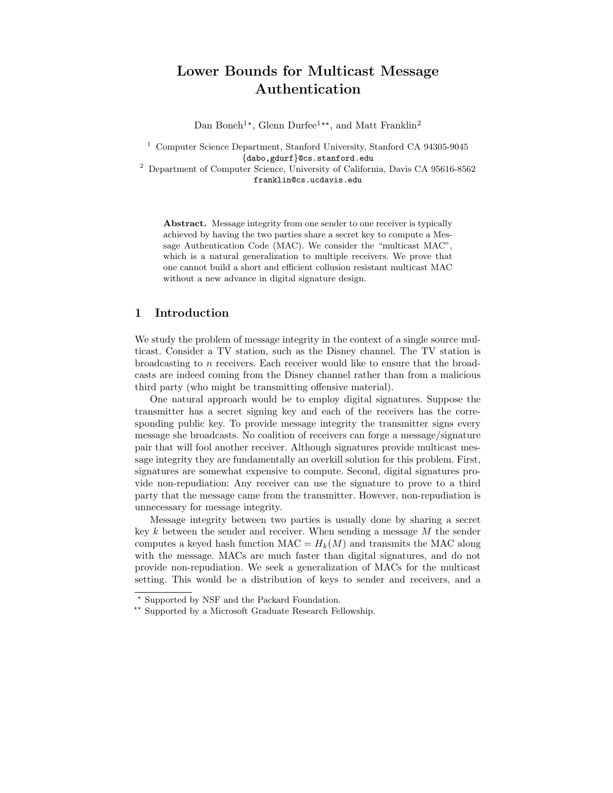# Lower Bounds for Multicast Message Authentication

Dan Boneh<sup>1\*</sup>, Glenn Durfee<sup>1\*\*</sup>, and Matt Franklin<sup>2</sup>

<sup>1</sup> Computer Science Department, Stanford University, Stanford CA 94305-9045 {dabo,gdurf}@cs.stanford.edu <sup>2</sup> Department of Computer Science, University of California, Davis CA 95616-8562 franklin@cs.ucdavis.edu

Abstract. Message integrity from one sender to one receiver is typically achieved by having the two parties share a secret key to compute a Message Authentication Code (MAC). We consider the "multicast MAC", which is a natural generalization to multiple receivers. We prove that one cannot build a short and efficient collusion resistant multicast MAC without a new advance in digital signature design.

### 1 Introduction

We study the problem of message integrity in the context of a single source multicast. Consider a TV station, such as the Disney channel. The TV station is broadcasting to n receivers. Each receiver would like to ensure that the broadcasts are indeed coming from the Disney channel rather than from a malicious third party (who might be transmitting offensive material).

One natural approach would be to employ digital signatures. Suppose the transmitter has a secret signing key and each of the receivers has the corresponding public key. To provide message integrity the transmitter signs every message she broadcasts. No coalition of receivers can forge a message/signature pair that will fool another receiver. Although signatures provide multicast message integrity they are fundamentally an overkill solution for this problem. First, signatures are somewhat expensive to compute. Second, digital signatures provide non-repudiation: Any receiver can use the signature to prove to a third party that the message came from the transmitter. However, non-repudiation is unnecessary for message integrity.

Message integrity between two parties is usually done by sharing a secret key k between the sender and receiver. When sending a message M the sender computes a keyed hash function  $MAC = H_k(M)$  and transmits the MAC along with the message. MACs are much faster than digital signatures, and do not provide non-repudiation. We seek a generalization of MACs for the multicast setting. This would be a distribution of keys to sender and receivers, and a

<sup>?</sup> Supported by NSF and the Packard Foundation.

<sup>\*\*</sup> Supported by a Microsoft Graduate Research Fellowship.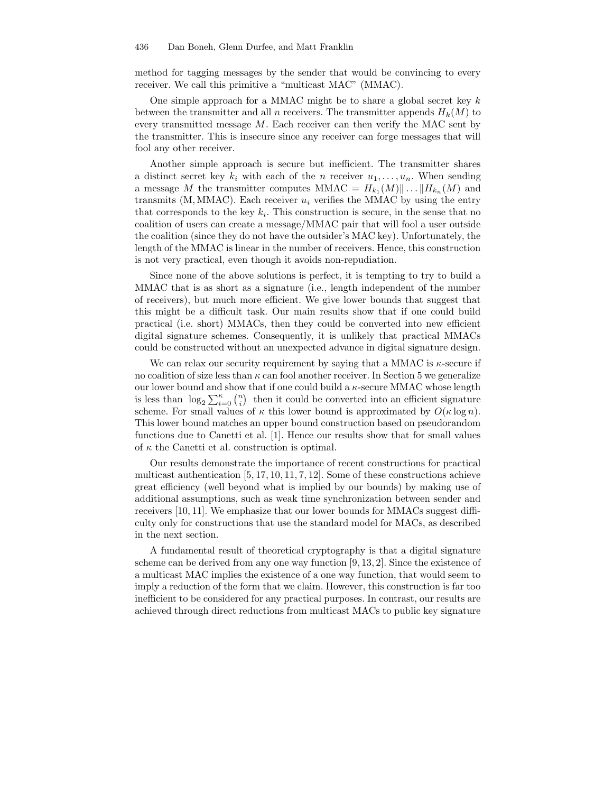method for tagging messages by the sender that would be convincing to every receiver. We call this primitive a "multicast MAC" (MMAC).

One simple approach for a MMAC might be to share a global secret key  $k$ between the transmitter and all n receivers. The transmitter appends  $H_k(M)$  to every transmitted message  $M$ . Each receiver can then verify the MAC sent by the transmitter. This is insecure since any receiver can forge messages that will fool any other receiver.

Another simple approach is secure but inefficient. The transmitter shares a distinct secret key  $k_i$  with each of the n receiver  $u_1, \ldots, u_n$ . When sending a message M the transmitter computes  $\text{MMAC} = H_{k_1}(M) \|\dots\| H_{k_n}(M)$  and transmits (M, MMAC). Each receiver  $u_i$  verifies the MMAC by using the entry that corresponds to the key  $k_i$ . This construction is secure, in the sense that no coalition of users can create a message/MMAC pair that will fool a user outside the coalition (since they do not have the outsider's MAC key). Unfortunately, the length of the MMAC is linear in the number of receivers. Hence, this construction is not very practical, even though it avoids non-repudiation.

Since none of the above solutions is perfect, it is tempting to try to build a MMAC that is as short as a signature (i.e., length independent of the number of receivers), but much more efficient. We give lower bounds that suggest that this might be a difficult task. Our main results show that if one could build practical (i.e. short) MMACs, then they could be converted into new efficient digital signature schemes. Consequently, it is unlikely that practical MMACs could be constructed without an unexpected advance in digital signature design.

We can relax our security requirement by saying that a MMAC is  $\kappa$ -secure if no coalition of size less than  $\kappa$  can fool another receiver. In Section 5 we generalize our lower bound and show that if one could build a  $\kappa$ -secure MMAC whose length is less than  $\log_2 \sum_{i=0}^{\kappa} {n \choose i}$  then it could be converted into an efficient signature scheme. For small values of  $\kappa$  this lower bound is approximated by  $O(\kappa \log n)$ . This lower bound matches an upper bound construction based on pseudorandom functions due to Canetti et al. [1]. Hence our results show that for small values of  $\kappa$  the Canetti et al. construction is optimal.

Our results demonstrate the importance of recent constructions for practical multicast authentication  $[5, 17, 10, 11, 7, 12]$ . Some of these constructions achieve great efficiency (well beyond what is implied by our bounds) by making use of additional assumptions, such as weak time synchronization between sender and receivers [10, 11]. We emphasize that our lower bounds for MMACs suggest difficulty only for constructions that use the standard model for MACs, as described in the next section.

A fundamental result of theoretical cryptography is that a digital signature scheme can be derived from any one way function [9, 13, 2]. Since the existence of a multicast MAC implies the existence of a one way function, that would seem to imply a reduction of the form that we claim. However, this construction is far too inefficient to be considered for any practical purposes. In contrast, our results are achieved through direct reductions from multicast MACs to public key signature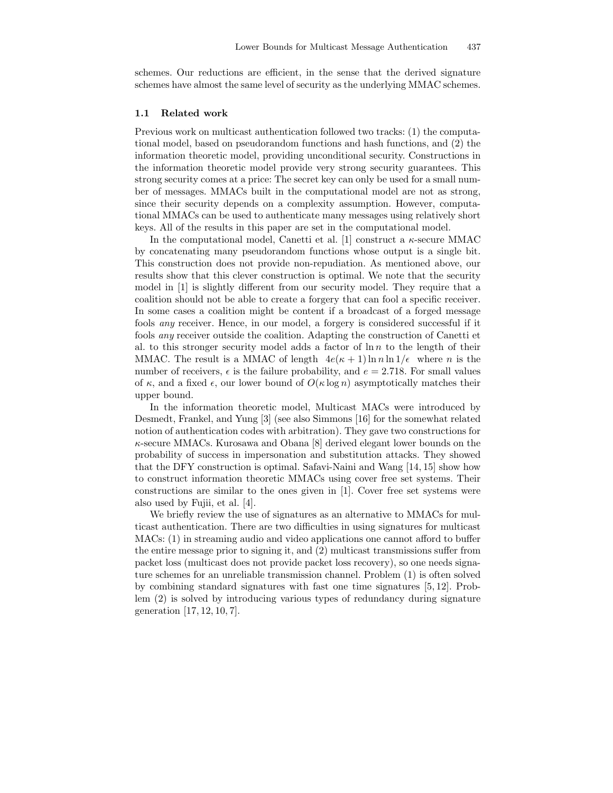schemes. Our reductions are efficient, in the sense that the derived signature schemes have almost the same level of security as the underlying MMAC schemes.

#### 1.1 Related work

Previous work on multicast authentication followed two tracks: (1) the computational model, based on pseudorandom functions and hash functions, and (2) the information theoretic model, providing unconditional security. Constructions in the information theoretic model provide very strong security guarantees. This strong security comes at a price: The secret key can only be used for a small number of messages. MMACs built in the computational model are not as strong, since their security depends on a complexity assumption. However, computational MMACs can be used to authenticate many messages using relatively short keys. All of the results in this paper are set in the computational model.

In the computational model, Canetti et al. [1] construct a  $\kappa$ -secure MMAC by concatenating many pseudorandom functions whose output is a single bit. This construction does not provide non-repudiation. As mentioned above, our results show that this clever construction is optimal. We note that the security model in [1] is slightly different from our security model. They require that a coalition should not be able to create a forgery that can fool a specific receiver. In some cases a coalition might be content if a broadcast of a forged message fools any receiver. Hence, in our model, a forgery is considered successful if it fools any receiver outside the coalition. Adapting the construction of Canetti et al. to this stronger security model adds a factor of  $\ln n$  to the length of their MMAC. The result is a MMAC of length  $4e(\kappa + 1)\ln n \ln 1/\epsilon$  where n is the number of receivers,  $\epsilon$  is the failure probability, and  $e = 2.718$ . For small values of  $\kappa$ , and a fixed  $\epsilon$ , our lower bound of  $O(\kappa \log n)$  asymptotically matches their upper bound.

In the information theoretic model, Multicast MACs were introduced by Desmedt, Frankel, and Yung [3] (see also Simmons [16] for the somewhat related notion of authentication codes with arbitration). They gave two constructions for  $\kappa$ -secure MMACs. Kurosawa and Obana [8] derived elegant lower bounds on the probability of success in impersonation and substitution attacks. They showed that the DFY construction is optimal. Safavi-Naini and Wang [14, 15] show how to construct information theoretic MMACs using cover free set systems. Their constructions are similar to the ones given in [1]. Cover free set systems were also used by Fujii, et al. [4].

We briefly review the use of signatures as an alternative to MMACs for multicast authentication. There are two difficulties in using signatures for multicast MACs: (1) in streaming audio and video applications one cannot afford to buffer the entire message prior to signing it, and (2) multicast transmissions suffer from packet loss (multicast does not provide packet loss recovery), so one needs signature schemes for an unreliable transmission channel. Problem (1) is often solved by combining standard signatures with fast one time signatures [5, 12]. Problem (2) is solved by introducing various types of redundancy during signature generation [17, 12, 10, 7].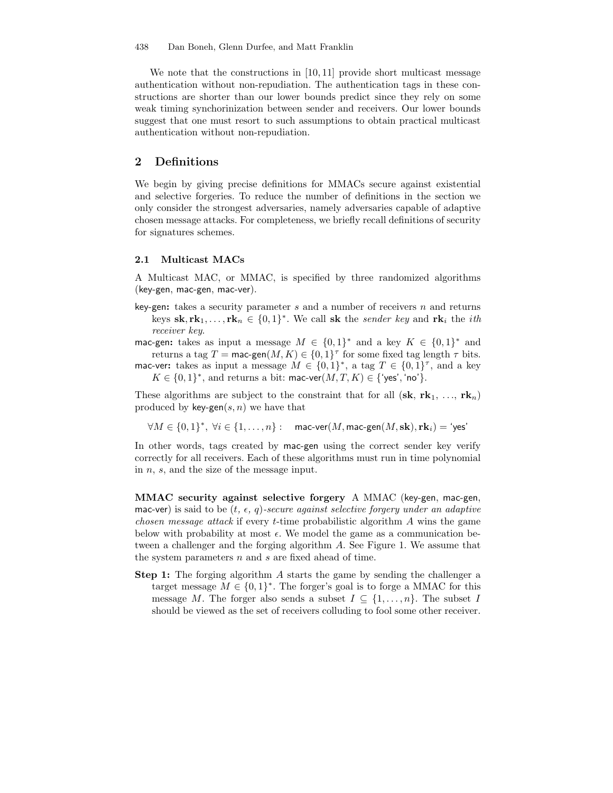We note that the constructions in [10, 11] provide short multicast message authentication without non-repudiation. The authentication tags in these constructions are shorter than our lower bounds predict since they rely on some weak timing synchorinization between sender and receivers. Our lower bounds suggest that one must resort to such assumptions to obtain practical multicast authentication without non-repudiation.

### 2 Definitions

We begin by giving precise definitions for MMACs secure against existential and selective forgeries. To reduce the number of definitions in the section we only consider the strongest adversaries, namely adversaries capable of adaptive chosen message attacks. For completeness, we briefly recall definitions of security for signatures schemes.

### 2.1 Multicast MACs

A Multicast MAC, or MMAC, is specified by three randomized algorithms (key-gen, mac-gen, mac-ver).

key-gen: takes a security parameter  $s$  and a number of receivers  $n$  and returns keys sk,  $\mathbf{rk}_1, \ldots, \mathbf{rk}_n \in \{0,1\}^*$ . We call sk the sender key and  $\mathbf{rk}_i$  the *ith* receiver key.

mac-gen: takes as input a message  $M \in \{0,1\}^*$  and a key  $K \in \{0,1\}^*$  and returns a tag  $T = \text{mac-gen}(M, K) \in \{0, 1\}^{\tau}$  for some fixed tag length  $\tau$  bits.

mac-ver: takes as input a message  $M \in \{0,1\}^*$ , a tag  $T \in \{0,1\}^{\tau}$ , and a key  $K \in \{0,1\}^*$ , and returns a bit: mac-ver $(M, T, K) \in \{\text{``yes', 'no'}\}.$ 

These algorithms are subject to the constraint that for all  $({\bf sk}, {\bf rk}_1, ..., {\bf rk}_n)$ produced by key-gen $(s, n)$  we have that

 $\forall M \in \{0,1\}^*, \ \forall i \in \{1,\ldots,n\} : \quad \textsf{mac-ver}(M,\textsf{mac-gen}(M,\textsf{sk}),\textsf{rk}_i) = \textsf{`yes'}$ 

In other words, tags created by mac-gen using the correct sender key verify correctly for all receivers. Each of these algorithms must run in time polynomial in n, s, and the size of the message input.

MMAC security against selective forgery A MMAC (key-gen, mac-gen, mac-ver) is said to be  $(t, \epsilon, q)$ -secure against selective forgery under an adaptive chosen message attack if every t-time probabilistic algorithm A wins the game below with probability at most  $\epsilon$ . We model the game as a communication between a challenger and the forging algorithm A. See Figure 1. We assume that the system parameters  $n$  and  $s$  are fixed ahead of time.

Step 1: The forging algorithm A starts the game by sending the challenger a target message  $M \in \{0,1\}^*$ . The forger's goal is to forge a MMAC for this message M. The forger also sends a subset  $I \subseteq \{1, \ldots, n\}$ . The subset I should be viewed as the set of receivers colluding to fool some other receiver.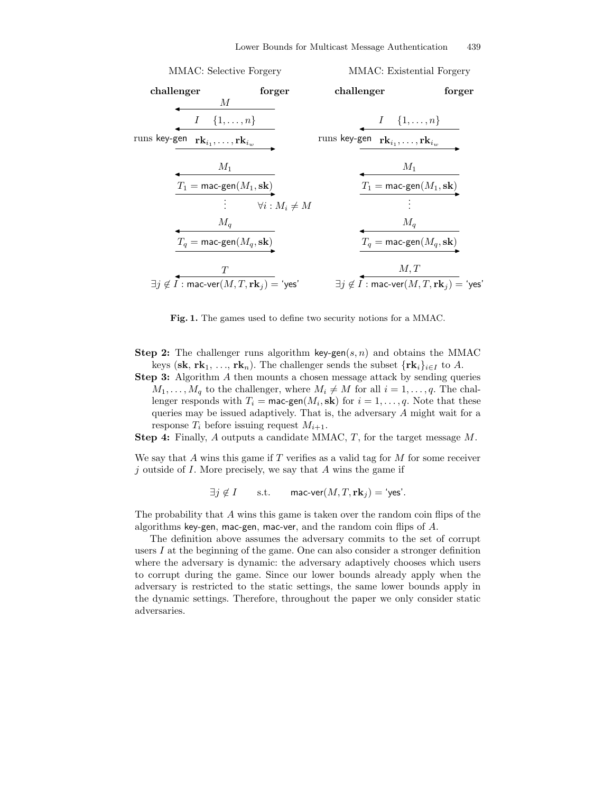| MMAC: Selective Forgery                                           |                         | MMAC: Existential Forgery                                                         |        |  |
|-------------------------------------------------------------------|-------------------------|-----------------------------------------------------------------------------------|--------|--|
| challenger<br>М                                                   | forger                  | challenger                                                                        | forger |  |
| $I = \{1, \ldots, n\}$                                            |                         | $I \{1,\ldots,n\}$                                                                |        |  |
| runs key-gen $\;$ r $\mathbf{k}_{i_1}, \ldots, \mathbf{rk}_{i_w}$ |                         | runs key-gen $\mathbf{rk}_{i_1}, \ldots, \mathbf{rk}_{i_w}$                       |        |  |
| $M_1$                                                             |                         | $M_1$                                                                             |        |  |
| $T_1$ = mac-gen $(M_1, s\mathbf{k})$                              |                         | $T_1$ = mac-gen $(M_1, s\mathbf{k})$                                              |        |  |
|                                                                   | $\forall i: M_i \neq M$ |                                                                                   |        |  |
| $M_q$                                                             |                         | $M_q$                                                                             |        |  |
| $T_q = \text{mac-gen}(M_q, \textbf{sk})$                          |                         | $T_q = \text{mac-gen}(M_q, \textbf{sk})$                                          |        |  |
| $\exists j \notin I$ : mac-ver $(M, T, \mathbf{rk}_j)$ = 'yes'    |                         | M,T<br>$\exists j \notin I :$ mac-ver $(M, T,$ <b>rk</b> <sub>j</sub> $) =$ 'yes' |        |  |
|                                                                   |                         |                                                                                   |        |  |

Fig. 1. The games used to define two security notions for a MMAC.

- **Step 2:** The challenger runs algorithm key-gen $(s, n)$  and obtains the MMAC keys (sk, rk<sub>1</sub>, ..., rk<sub>n</sub>). The challenger sends the subset  $\{rk_i\}_{i\in I}$  to A.
- Step 3: Algorithm A then mounts a chosen message attack by sending queries  $M_1, \ldots, M_q$  to the challenger, where  $M_i \neq M$  for all  $i = 1, \ldots, q$ . The challenger responds with  $T_i = \textsf{mac-gen}(M_i,\textbf{sk})$  for  $i = 1,\ldots,q.$  Note that these queries may be issued adaptively. That is, the adversary A might wait for a response  $T_i$  before issuing request  $M_{i+1}$ .

Step 4: Finally, A outputs a candidate MMAC, T, for the target message M.

We say that  $A$  wins this game if  $T$  verifies as a valid tag for  $M$  for some receiver  $j$  outside of I. More precisely, we say that A wins the game if

$$
\exists j \notin I \qquad \text{s.t.} \qquad \text{mac-ver}(M, T, \mathbf{rk}_j) = \text{'yes'}.
$$

The probability that A wins this game is taken over the random coin flips of the algorithms key-gen, mac-gen, mac-ver, and the random coin flips of A.

The definition above assumes the adversary commits to the set of corrupt users I at the beginning of the game. One can also consider a stronger definition where the adversary is dynamic: the adversary adaptively chooses which users to corrupt during the game. Since our lower bounds already apply when the adversary is restricted to the static settings, the same lower bounds apply in the dynamic settings. Therefore, throughout the paper we only consider static adversaries.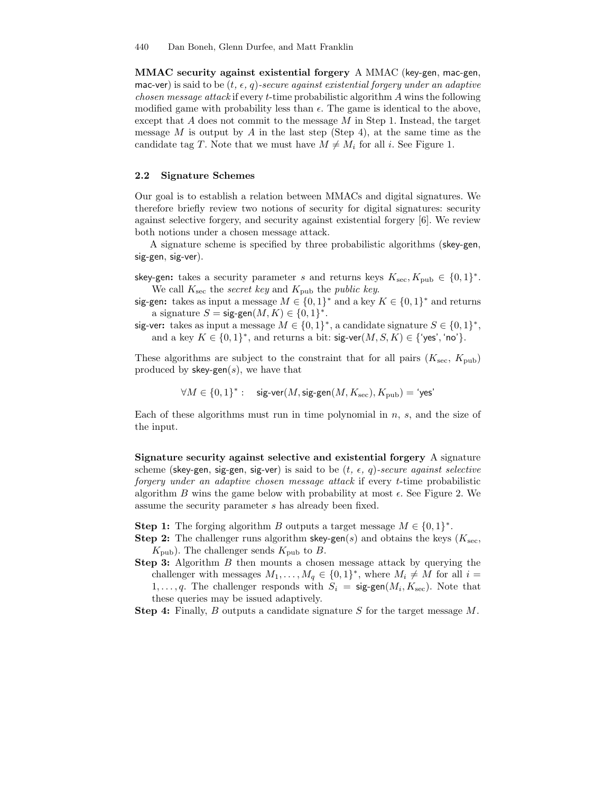MMAC security against existential forgery A MMAC (key-gen, mac-gen, mac-ver) is said to be  $(t, \epsilon, q)$ -secure against existential forgery under an adaptive chosen message attack if every t-time probabilistic algorithm A wins the following modified game with probability less than  $\epsilon$ . The game is identical to the above, except that  $A$  does not commit to the message  $M$  in Step 1. Instead, the target message  $M$  is output by  $A$  in the last step (Step 4), at the same time as the candidate tag T. Note that we must have  $M \neq M_i$  for all i. See Figure 1.

#### 2.2 Signature Schemes

Our goal is to establish a relation between MMACs and digital signatures. We therefore briefly review two notions of security for digital signatures: security against selective forgery, and security against existential forgery [6]. We review both notions under a chosen message attack.

A signature scheme is specified by three probabilistic algorithms (skey-gen, sig-gen, sig-ver).

skey-gen: takes a security parameter s and returns keys  $K_{\text{sec}}$ ,  $K_{\text{pub}} \in \{0,1\}^*$ . We call  $K_{\text{sec}}$  the secret key and  $K_{\text{pub}}$  the public key.

sig-gen: takes as input a message  $M \in \{0,1\}^*$  and a key  $K \in \{0,1\}^*$  and returns a signature  $S = \text{sig-gen}(M, K) \in \{0, 1\}^*.$ 

sig-ver: takes as input a message  $M \in \{0,1\}^*$ , a candidate signature  $S \in \{0,1\}^*$ , and a key  $K \in \{0,1\}^*$ , and returns a bit:  $\text{sig-ver}(M, S, K) \in \{\text{`yes', 'no'}\}.$ 

These algorithms are subject to the constraint that for all pairs  $(K_{\text{sec}}, K_{\text{pub}})$ produced by skey-gen(s), we have that

 $\forall M \in \{0,1\}^* : \quad \mathsf{sig\text{-}ver}(M,\mathsf{sig\text{-}gen}(M,K_\mathrm{sec}),K_\mathrm{pub}) = \texttt{`yes'}$ 

Each of these algorithms must run in time polynomial in  $n$ ,  $s$ , and the size of the input.

Signature security against selective and existential forgery A signature scheme (skey-gen, sig-gen, sig-ver) is said to be  $(t, \epsilon, q)$ -secure against selective forgery under an adaptive chosen message attack if every t-time probabilistic algorithm B wins the game below with probability at most  $\epsilon$ . See Figure 2. We assume the security parameter s has already been fixed.

**Step 1:** The forging algorithm B outputs a target message  $M \in \{0,1\}^*$ .

- **Step 2:** The challenger runs algorithm skey-gen(s) and obtains the keys ( $K_{\text{sec}}$ ,  $K_{\text{pub}}$ ). The challenger sends  $K_{\text{pub}}$  to B.
- Step 3: Algorithm B then mounts a chosen message attack by querying the challenger with messages  $M_1, \ldots, M_q \in \{0,1\}^*$ , where  $M_i \neq M$  for all  $i =$  $1, \ldots, q$ . The challenger responds with  $S_i = \text{sig-gen}(M_i, K_{\text{sec}})$ . Note that these queries may be issued adaptively.

Step 4: Finally, B outputs a candidate signature S for the target message M.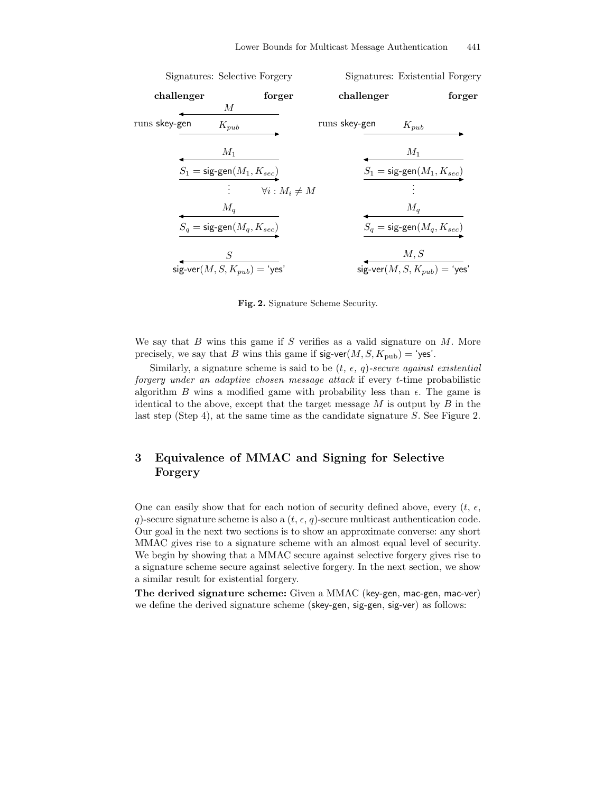|               | Signatures: Selective Forgery                |                         |               | Signatures: Existential Forgery           |  |
|---------------|----------------------------------------------|-------------------------|---------------|-------------------------------------------|--|
| challenger    | $\boldsymbol{M}$                             | forger                  | challenger    | forger                                    |  |
| runs skey-gen | $K_{pub}$                                    |                         | runs skey-gen | $K_{pub}$                                 |  |
|               | $M_1$                                        |                         |               | $M_1$                                     |  |
|               | $S_1 = \text{sig-gen}(M_1, K_{sec})$         | $\forall i: M_i \neq M$ |               | $S_1 = \text{sig-gen}(M_1, K_{sec})$      |  |
|               | $M_q$                                        |                         |               | $M_q$                                     |  |
|               | $S_q = \text{sig-gen}(M_q, K_{sec})$         |                         |               | $S_q = \text{sig-gen}(M_q, K_{sec})$      |  |
|               | S<br>$sig\text{-}ver(M, S, K_{pub}) = 'yes'$ |                         |               | M, S<br>sig-ver $(M, S, K_{pub})$ = 'yes' |  |

Fig. 2. Signature Scheme Security.

We say that  $B$  wins this game if  $S$  verifies as a valid signature on  $M$ . More precisely, we say that B wins this game if  $sig\text{-}ver(M, S, K_{pub}) = 'yes'.$ 

Similarly, a signature scheme is said to be  $(t, \epsilon, q)$ -secure against existential forgery under an adaptive chosen message attack if every t-time probabilistic algorithm B wins a modified game with probability less than  $\epsilon$ . The game is identical to the above, except that the target message  $M$  is output by  $B$  in the last step (Step 4), at the same time as the candidate signature S. See Figure 2.

## 3 Equivalence of MMAC and Signing for Selective Forgery

One can easily show that for each notion of security defined above, every  $(t, \epsilon, \epsilon)$ q)-secure signature scheme is also a  $(t, \epsilon, q)$ -secure multicast authentication code. Our goal in the next two sections is to show an approximate converse: any short MMAC gives rise to a signature scheme with an almost equal level of security. We begin by showing that a MMAC secure against selective forgery gives rise to a signature scheme secure against selective forgery. In the next section, we show a similar result for existential forgery.

The derived signature scheme: Given a MMAC (key-gen, mac-gen, mac-ver) we define the derived signature scheme (skey-gen, sig-gen, sig-ver) as follows: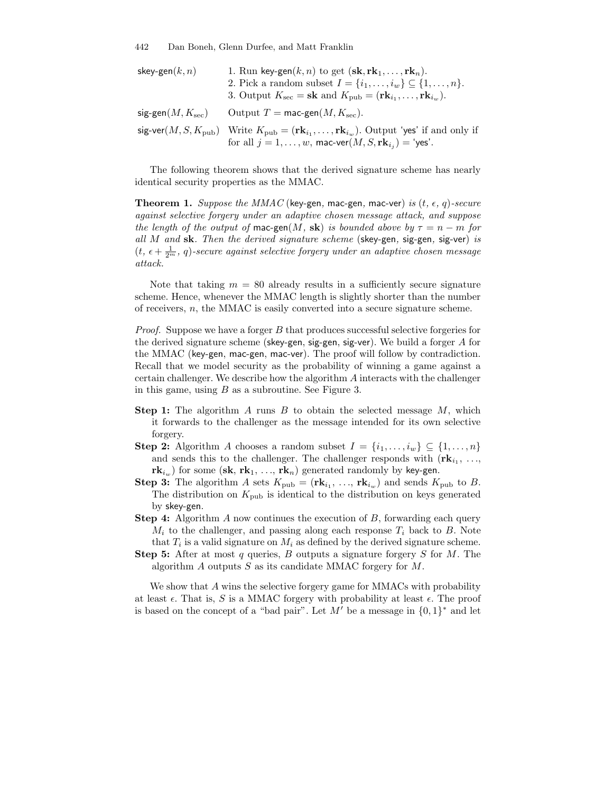442 Dan Boneh, Glenn Durfee, and Matt Franklin

| skey-gen $(k, n)$               | 1. Run key-gen $(k, n)$ to get $(\mathbf{sk}, \mathbf{rk}_1, \dots, \mathbf{rk}_n)$ .<br>2. Pick a random subset $I = \{i_1, \ldots, i_w\} \subseteq \{1, \ldots, n\}.$<br>3. Output $K_{\text{sec}} = \mathbf{sk}$ and $K_{\text{pub}} = (\mathbf{rk}_{i_1}, \dots, \mathbf{rk}_{i_m}).$ |
|---------------------------------|-------------------------------------------------------------------------------------------------------------------------------------------------------------------------------------------------------------------------------------------------------------------------------------------|
| sig-gen $(M, K_{\rm sec})$      | Output $T = \text{mac-gen}(M, K_{\text{sec}})$ .                                                                                                                                                                                                                                          |
| $sig-ver(M, S, K_{\text{pub}})$ | Write $K_{\text{pub}} = (\mathbf{rk}_{i_1}, \dots, \mathbf{rk}_{i_m})$ . Output 'yes' if and only if<br>for all $j = 1, \ldots, w$ , mac-ver $(M, S, \mathbf{rk}_{i_j}) = '$ yes'.                                                                                                        |

The following theorem shows that the derived signature scheme has nearly identical security properties as the MMAC.

**Theorem 1.** Suppose the MMAC (key-gen, mac-gen, mac-ver) is  $(t, \epsilon, q)$ -secure against selective forgery under an adaptive chosen message attack, and suppose the length of the output of mac-gen(M, sk) is bounded above by  $\tau = n - m$  for all  $M$  and  $sk$ . Then the derived signature scheme (skey-gen, sig-gen, sig-ver) is  $(t, \epsilon + \frac{1}{2^m}, q)$ -secure against selective forgery under an adaptive chosen message attack.

Note that taking  $m = 80$  already results in a sufficiently secure signature scheme. Hence, whenever the MMAC length is slightly shorter than the number of receivers,  $n$ , the MMAC is easily converted into a secure signature scheme.

Proof. Suppose we have a forger B that produces successful selective forgeries for the derived signature scheme (skey-gen, sig-gen, sig-ver). We build a forger A for the MMAC (key-gen, mac-gen, mac-ver). The proof will follow by contradiction. Recall that we model security as the probability of winning a game against a certain challenger. We describe how the algorithm A interacts with the challenger in this game, using  $B$  as a subroutine. See Figure 3.

- **Step 1:** The algorithm A runs B to obtain the selected message  $M$ , which it forwards to the challenger as the message intended for its own selective forgery.
- **Step 2:** Algorithm A chooses a random subset  $I = \{i_1, \ldots, i_w\} \subseteq \{1, \ldots, n\}$ and sends this to the challenger. The challenger responds with  $(\mathbf{rk}_{i_1}, \ldots,$  $\mathbf{rk}_{i_w}$ ) for some  $(\mathbf{sk}, \mathbf{rk}_1, \ldots, \mathbf{rk}_n)$  generated randomly by key-gen.
- **Step 3:** The algorithm A sets  $K_{\text{pub}} = (\mathbf{rk}_{i_1}, \ldots, \mathbf{rk}_{i_w})$  and sends  $K_{\text{pub}}$  to B. The distribution on  $K_{\text{pub}}$  is identical to the distribution on keys generated by skey-gen.
- **Step 4:** Algorithm A now continues the execution of  $B$ , forwarding each query  $M_i$  to the challenger, and passing along each response  $T_i$  back to B. Note that  $T_i$  is a valid signature on  $M_i$  as defined by the derived signature scheme.
- **Step 5:** After at most  $q$  queries,  $B$  outputs a signature forgery  $S$  for  $M$ . The algorithm  $A$  outputs  $S$  as its candidate MMAC forgery for  $M$ .

We show that A wins the selective forgery game for MMACs with probability at least  $\epsilon$ . That is, S is a MMAC forgery with probability at least  $\epsilon$ . The proof is based on the concept of a "bad pair". Let  $M'$  be a message in  $\{0, 1\}^*$  and let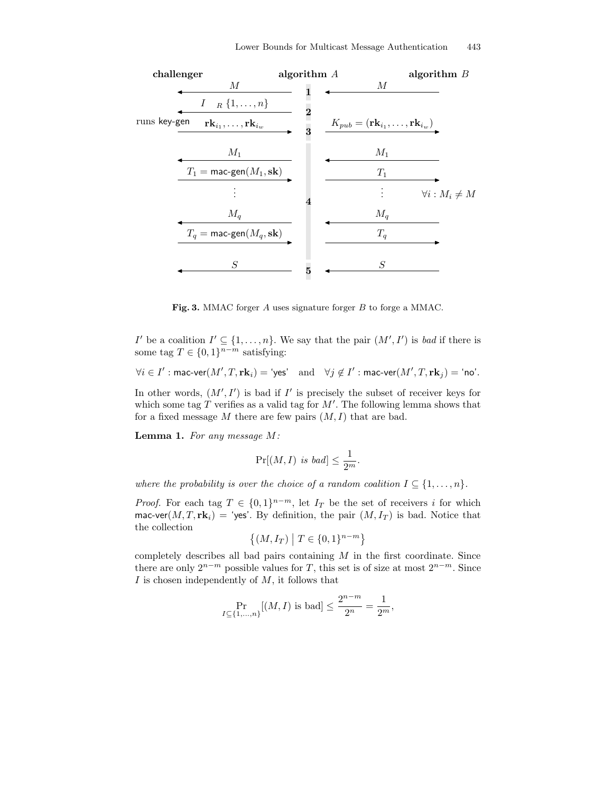

Fig. 3. MMAC forger A uses signature forger B to forge a MMAC.

I' be a coalition  $I' \subseteq \{1, \ldots, n\}$ . We say that the pair  $(M', I')$  is bad if there is some tag  $T \in \{0,1\}^{n-m}$  satisfying:

 $\forall i \in I': \textsf{mac-ver}(M', T, \textbf{rk}_i) = \text{`yes'} \quad \text{and} \quad \forall j \not\in I': \textsf{mac-ver}(M', T, \textbf{rk}_j) = \text{`no'}.$ 

In other words,  $(M', I')$  is bad if  $I'$  is precisely the subset of receiver keys for which some tag  $T$  verifies as a valid tag for  $M'$ . The following lemma shows that for a fixed message  $M$  there are few pairs  $(M, I)$  that are bad.

Lemma 1. For any message M:

$$
\Pr[(M,I) \text{ is bad}] \le \frac{1}{2^m}.
$$

where the probability is over the choice of a random coalition  $I \subseteq \{1, \ldots, n\}$ .

*Proof.* For each tag  $T \in \{0,1\}^{n-m}$ , let  $I_T$  be the set of receivers i for which mac-ver $(M, T, r\mathbf{k}_i)$  = 'yes'. By definition, the pair  $(M, I_T)$  is bad. Notice that the collection

$$
\{(M, I_T) \mid T \in \{0, 1\}^{n-m}\}
$$

completely describes all bad pairs containing  $M$  in the first coordinate. Since there are only  $2^{n-m}$  possible values for T, this set is of size at most  $2^{n-m}$ . Since  $I$  is chosen independently of  $M$ , it follows that

$$
\Pr_{I \subseteq \{1, ..., n\}}[(M, I) \text{ is bad}] \le \frac{2^{n-m}}{2^n} = \frac{1}{2^m},
$$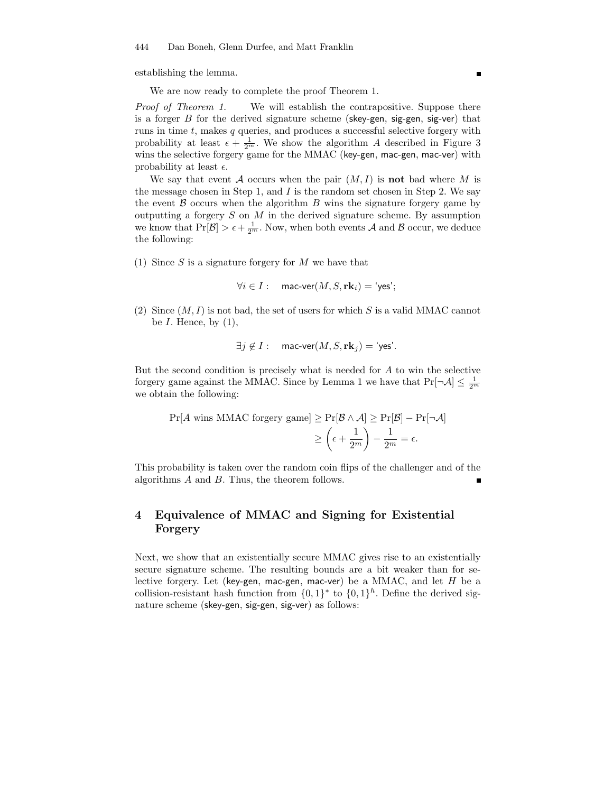establishing the lemma.

We are now ready to complete the proof Theorem 1.

Proof of Theorem 1. We will establish the contrapositive. Suppose there is a forger B for the derived signature scheme (skey-gen, sig-gen, sig-ver) that runs in time  $t$ , makes  $q$  queries, and produces a successful selective forgery with probability at least  $\epsilon + \frac{1}{2^m}$ . We show the algorithm A described in Figure 3 wins the selective forgery game for the MMAC (key-gen, mac-gen, mac-ver) with probability at least  $\epsilon$ .

We say that event A occurs when the pair  $(M, I)$  is **not** bad where M is the message chosen in Step 1, and  $I$  is the random set chosen in Step 2. We say the event  $\beta$  occurs when the algorithm  $B$  wins the signature forgery game by outputting a forgery  $S$  on  $M$  in the derived signature scheme. By assumption we know that  $Pr[\mathcal{B}] > \epsilon + \frac{1}{2^m}$ . Now, when both events A and B occur, we deduce the following:

(1) Since  $S$  is a signature forgery for  $M$  we have that

$$
\forall i \in I: \quad \text{mac-ver}(M, S, \mathbf{rk}_i) = \text{`yes'};
$$

(2) Since  $(M, I)$  is not bad, the set of users for which S is a valid MMAC cannot be  $I$ . Hence, by  $(1)$ ,

$$
\exists j \notin I: \quad \text{mac-ver}(M, S, \mathbf{rk}_j) = \text{'yes'}.
$$

But the second condition is precisely what is needed for A to win the selective forgery game against the MMAC. Since by Lemma 1 we have that  $Pr[\neg \mathcal{A}] \le \frac{1}{2^m}$ we obtain the following:

$$
\Pr[A \text{ wins MMAC forgery game}] \ge \Pr[\mathcal{B} \land \mathcal{A}] \ge \Pr[\mathcal{B}] - \Pr[\neg \mathcal{A}]
$$

$$
\ge \left(\epsilon + \frac{1}{2^m}\right) - \frac{1}{2^m} = \epsilon.
$$

This probability is taken over the random coin flips of the challenger and of the algorithms A and B. Thus, the theorem follows.

### 4 Equivalence of MMAC and Signing for Existential Forgery

Next, we show that an existentially secure MMAC gives rise to an existentially secure signature scheme. The resulting bounds are a bit weaker than for selective forgery. Let (key-gen, mac-gen, mac-ver) be a MMAC, and let  $H$  be a collision-resistant hash function from  $\{0,1\}^*$  to  $\{0,1\}^h$ . Define the derived signature scheme (skey-gen, sig-gen, sig-ver) as follows: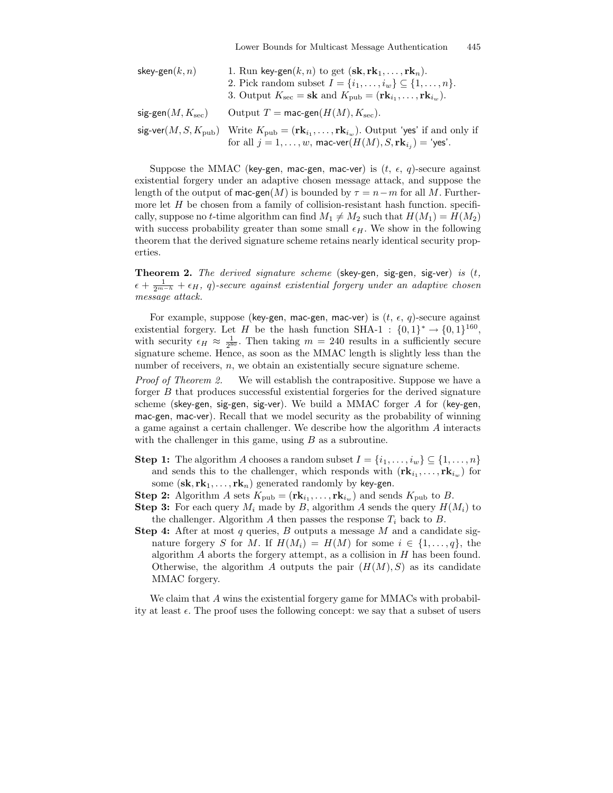| skey-gen $(k, n)$                | 1. Run key-gen $(k, n)$ to get $(\mathbf{sk}, \mathbf{rk}_1, \dots, \mathbf{rk}_n)$ .                          |
|----------------------------------|----------------------------------------------------------------------------------------------------------------|
|                                  | 2. Pick random subset $I = \{i_1, \ldots, i_w\} \subseteq \{1, \ldots, n\}.$                                   |
|                                  | 3. Output $K_{\text{sec}} = \mathbf{sk}$ and $K_{\text{pub}} = (\mathbf{rk}_{i_1}, \dots, \mathbf{rk}_{i_m}).$ |
| sig-gen $(M, K_{\rm sec})$       | Output $T = \text{mac-gen}(H(M), K_{\text{sec}})$ .                                                            |
| sig-ver $(M, S, K_{\text{pub}})$ | Write $K_{\text{pub}} = (\mathbf{rk}_{i_1}, \dots, \mathbf{rk}_{i_m})$ . Output 'yes' if and only if           |
|                                  | for all $j = 1, \ldots, w$ , mac-ver $(H(M), S, \mathbf{rk}_{i_j}) =$ 'yes'.                                   |

Suppose the MMAC (key-gen, mac-gen, mac-ver) is  $(t, \epsilon, q)$ -secure against existential forgery under an adaptive chosen message attack, and suppose the length of the output of mac-gen(M) is bounded by  $\tau = n-m$  for all M. Furthermore let  $H$  be chosen from a family of collision-resistant hash function. specifically, suppose no t-time algorithm can find  $M_1 \neq M_2$  such that  $H(M_1) = H(M_2)$ with success probability greater than some small  $\epsilon_H$ . We show in the following theorem that the derived signature scheme retains nearly identical security properties.

**Theorem 2.** The derived signature scheme (skey-gen, sig-gen, sig-ver) is  $(t,$  $\epsilon + \frac{1}{2^{m-h}} + \epsilon_H$ , q)-secure against existential forgery under an adaptive chosen message attack.

For example, suppose (key-gen, mac-gen, mac-ver) is  $(t, \epsilon, q)$ -secure against existential forgery. Let H be the hash function SHA-1 :  $\{0,1\}^* \rightarrow \{0,1\}^{160}$ , with security  $\epsilon_H \approx \frac{1}{2^{80}}$ . Then taking  $m = 240$  results in a sufficiently secure signature scheme. Hence, as soon as the MMAC length is slightly less than the number of receivers,  $n$ , we obtain an existentially secure signature scheme.

Proof of Theorem 2. We will establish the contrapositive. Suppose we have a forger  $B$  that produces successful existential forgeries for the derived signature scheme (skey-gen, sig-gen, sig-ver). We build a MMAC forger  $\hat{A}$  for (key-gen, mac-gen, mac-ver). Recall that we model security as the probability of winning a game against a certain challenger. We describe how the algorithm A interacts with the challenger in this game, using  $B$  as a subroutine.

- **Step 1:** The algorithm A chooses a random subset  $I = \{i_1, \ldots, i_w\} \subseteq \{1, \ldots, n\}$ and sends this to the challenger, which responds with  $(\mathbf{rk}_{i_1}, \ldots, \mathbf{rk}_{i_w})$  for some  $(\mathbf{sk}, \mathbf{rk}_1, \dots, \mathbf{rk}_n)$  generated randomly by key-gen.
- **Step 2:** Algorithm A sets  $K_{\text{pub}} = (\mathbf{rk}_{i_1}, \dots, \mathbf{rk}_{i_w})$  and sends  $K_{\text{pub}}$  to B.
- **Step 3:** For each query  $M_i$  made by B, algorithm A sends the query  $H(M_i)$  to the challenger. Algorithm A then passes the response  $T_i$  back to B.
- **Step 4:** After at most q queries, B outputs a message M and a candidate signature forgery S for M. If  $H(M_i) = H(M)$  for some  $i \in \{1, ..., q\}$ , the algorithm  $A$  aborts the forgery attempt, as a collision in  $H$  has been found. Otherwise, the algorithm A outputs the pair  $(H(M), S)$  as its candidate MMAC forgery.

We claim that A wins the existential forgery game for MMACs with probability at least  $\epsilon$ . The proof uses the following concept: we say that a subset of users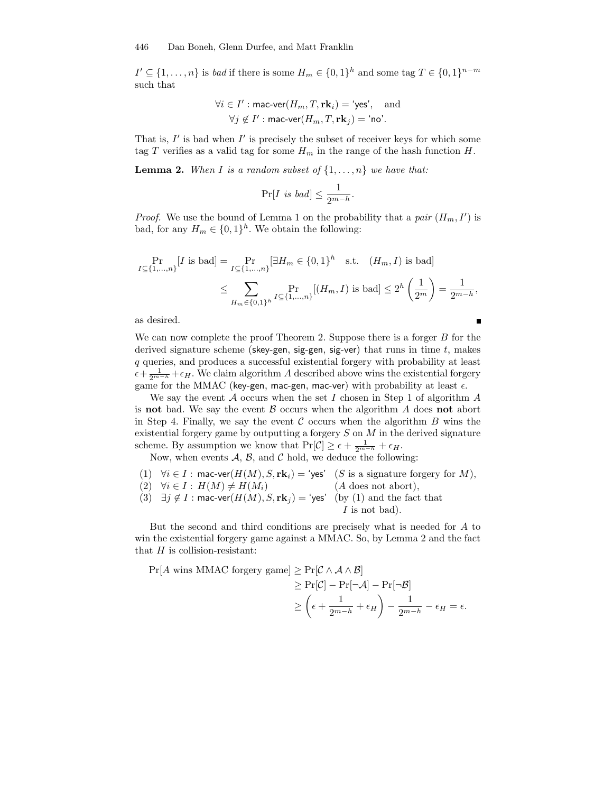$I' \subseteq \{1, \ldots, n\}$  is bad if there is some  $H_m \in \{0, 1\}^h$  and some tag  $T \in \{0, 1\}^{n-m}$ such that

$$
\forall i \in I' : \text{mac-ver}(H_m, T, \mathbf{rk}_i) = \text{'yes'}, \text{ and}
$$

$$
\forall j \notin I' : \text{mac-ver}(H_m, T, \mathbf{rk}_j) = \text{'no'}.
$$

That is,  $I'$  is bad when  $I'$  is precisely the subset of receiver keys for which some tag T verifies as a valid tag for some  $H_m$  in the range of the hash function  $H$ .

**Lemma 2.** When I is a random subset of  $\{1, \ldots, n\}$  we have that:

$$
\Pr[I \text{ is } bad] \le \frac{1}{2^{m-h}}.
$$

*Proof.* We use the bound of Lemma 1 on the probability that a pair  $(H_m, I')$  is bad, for any  $H_m \in \{0,1\}^h$ . We obtain the following:

$$
\Pr_{I \subseteq \{1,\ldots,n\}}[I \text{ is bad}] = \Pr_{I \subseteq \{1,\ldots,n\}}[\exists H_m \in \{0,1\}^h \text{ s.t. } (H_m, I) \text{ is bad}]
$$
  

$$
\leq \sum_{H_m \in \{0,1\}^h} \Pr_{I \subseteq \{1,\ldots,n\}}[(H_m, I) \text{ is bad}] \leq 2^h \left(\frac{1}{2^m}\right) = \frac{1}{2^{m-h}},
$$

 $\blacksquare$ 

as desired.

We can now complete the proof Theorem 2. Suppose there is a forger B for the derived signature scheme (skey-gen, sig-gen, sig-ver) that runs in time  $t$ , makes q queries, and produces a successful existential forgery with probability at least  $\epsilon + \frac{1}{2^{m-h}} + \epsilon_H$ . We claim algorithm A described above wins the existential forgery game for the MMAC (key-gen, mac-gen, mac-ver) with probability at least  $\epsilon$ .

We say the event  $A$  occurs when the set I chosen in Step 1 of algorithm  $A$ is **not** bad. We say the event  $\beta$  occurs when the algorithm  $\beta$  does **not** abort in Step 4. Finally, we say the event  $\mathcal C$  occurs when the algorithm  $B$  wins the existential forgery game by outputting a forgery  $S$  on  $M$  in the derived signature scheme. By assumption we know that  $Pr[\mathcal{C}] \geq \epsilon + \frac{1}{2^{m-h}} + \epsilon_H$ .

Now, when events  $A, B$ , and  $C$  hold, we deduce the following:

(1)  $\forall i \in I$ : mac-ver $(H(M), S, \mathbf{rk}_i) = \text{'yes' } (S \text{ is a signature forgery for } M),$ (2)  $\forall i \in I : H(M) \neq H(M_i)$  (A does not abort), (3)  $\exists j \notin I : \text{mac-ver}(H(M), S, \text{rk}_j) = \text{'yes' (by (1) and the fact that})$ I is not bad).

But the second and third conditions are precisely what is needed for A to win the existential forgery game against a MMAC. So, by Lemma 2 and the fact that  $H$  is collision-resistant:

$$
\Pr[A \text{ wins MMAC forgery game}] \ge \Pr[\mathcal{C} \land \mathcal{A} \land \mathcal{B}]
$$

$$
\ge \Pr[\mathcal{C}] - \Pr[\neg \mathcal{A}] - \Pr[\neg \mathcal{B}]
$$

$$
\ge \left(\epsilon + \frac{1}{2^{m-h}} + \epsilon_H\right) - \frac{1}{2^{m-h}} - \epsilon_H = \epsilon.
$$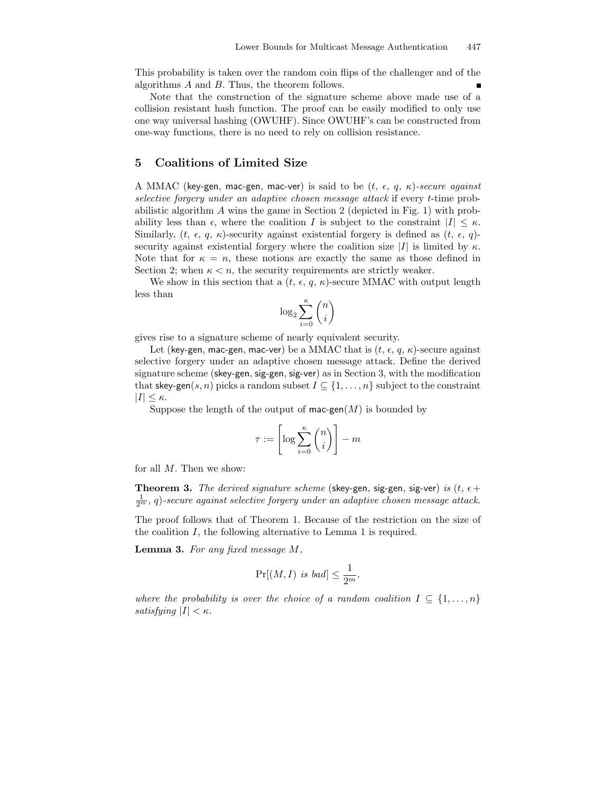This probability is taken over the random coin flips of the challenger and of the algorithms A and B. Thus, the theorem follows.

Note that the construction of the signature scheme above made use of a collision resistant hash function. The proof can be easily modified to only use one way universal hashing (OWUHF). Since OWUHF's can be constructed from one-way functions, there is no need to rely on collision resistance.

### 5 Coalitions of Limited Size

A MMAC (key-gen, mac-gen, mac-ver) is said to be  $(t, \epsilon, q, \kappa)$ -secure against selective forgery under an adaptive chosen message attack if every t-time probabilistic algorithm A wins the game in Section 2 (depicted in Fig. 1) with probability less than  $\epsilon$ , where the coalition I is subject to the constraint  $|I| \leq \kappa$ . Similarly,  $(t, \epsilon, q, \kappa)$ -security against existential forgery is defined as  $(t, \epsilon, q)$ security against existential forgery where the coalition size  $|I|$  is limited by  $\kappa$ . Note that for  $\kappa = n$ , these notions are exactly the same as those defined in Section 2; when  $\kappa < n$ , the security requirements are strictly weaker.

We show in this section that a  $(t, \epsilon, q, \kappa)$ -secure MMAC with output length less than

$$
\log_2 \sum_{i=0}^{\kappa} \binom{n}{i}
$$

gives rise to a signature scheme of nearly equivalent security.

Let (key-gen, mac-gen, mac-ver) be a MMAC that is  $(t, \epsilon, q, \kappa)$ -secure against selective forgery under an adaptive chosen message attack. Define the derived signature scheme (skey-gen, sig-gen, sig-ver) as in Section 3, with the modification that skey-gen $(s, n)$  picks a random subset  $I \subseteq \{1, \ldots, n\}$  subject to the constraint  $|I| \leq \kappa$ .

Suppose the length of the output of mac-gen $(M)$  is bounded by

$$
\tau := \left[\log \sum_{i=0}^{\kappa} \binom{n}{i}\right] - m
$$

for all  $M$ . Then we show:

**Theorem 3.** The derived signature scheme (skey-gen, sig-gen, sig-ver) is  $(t, \epsilon +$  $\frac{1}{2^m}$ , q)-secure against selective forgery under an adaptive chosen message attack.

The proof follows that of Theorem 1. Because of the restriction on the size of the coalition I, the following alternative to Lemma 1 is required.

**Lemma 3.** For any fixed message  $M$ ,

$$
\Pr[(M,I) \text{ is bad}] \le \frac{1}{2^m}.
$$

where the probability is over the choice of a random coalition  $I \subseteq \{1, \ldots, n\}$ satisfying  $|I| < \kappa$ .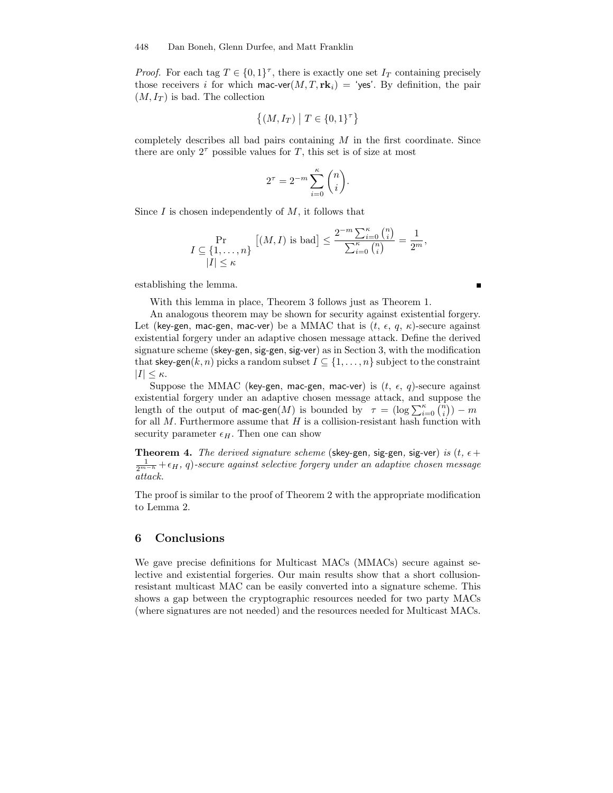*Proof.* For each tag  $T \in \{0,1\}^{\tau}$ , there is exactly one set  $I_T$  containing precisely those receivers i for which mac-ver $(M, T, r\mathbf{k}_i)$  = 'yes'. By definition, the pair  $(M, I_T)$  is bad. The collection

$$
\{(M,I_T) \mid T \in \{0,1\}^\tau\}
$$

completely describes all bad pairs containing  $M$  in the first coordinate. Since there are only  $2^{\tau}$  possible values for T, this set is of size at most

$$
2^{\tau} = 2^{-m} \sum_{i=0}^{\kappa} \binom{n}{i}.
$$

Since  $I$  is chosen independently of  $M$ , it follows that

$$
I \subseteq \{1, \ldots, n\} \left[ (M, I) \text{ is bad} \right] \le \frac{2^{-m} \sum_{i=0}^{\kappa} {n \choose i}}{\sum_{i=0}^{\kappa} {n \choose i}} = \frac{1}{2^m},
$$
  

$$
|I| \le \kappa
$$

establishing the lemma.

With this lemma in place, Theorem 3 follows just as Theorem 1.

An analogous theorem may be shown for security against existential forgery. Let (key-gen, mac-gen, mac-ver) be a MMAC that is  $(t, \epsilon, q, \kappa)$ -secure against existential forgery under an adaptive chosen message attack. Define the derived signature scheme (skey-gen, sig-gen, sig-ver) as in Section 3, with the modification that skey-gen $(k, n)$  picks a random subset  $I \subseteq \{1, \ldots, n\}$  subject to the constraint  $|I| \leq \kappa$ .

Suppose the MMAC (key-gen, mac-gen, mac-ver) is  $(t, \epsilon, q)$ -secure against existential forgery under an adaptive chosen message attack, and suppose the length of the output of mac-gen(M) is bounded by  $\tau = (\log \sum_{i=0}^{\kappa} {n \choose i}) - m$ for all  $M$ . Furthermore assume that  $H$  is a collision-resistant hash function with security parameter  $\epsilon_H$ . Then one can show

**Theorem 4.** The derived signature scheme (skey-gen, sig-gen, sig-ver) is  $(t, \epsilon +$  $\frac{1}{2^{m-h}}+\epsilon_H$ , q)-secure against selective forgery under an adaptive chosen message attack.

The proof is similar to the proof of Theorem 2 with the appropriate modification to Lemma 2.

### 6 Conclusions

We gave precise definitions for Multicast MACs (MMACs) secure against selective and existential forgeries. Our main results show that a short collusionresistant multicast MAC can be easily converted into a signature scheme. This shows a gap between the cryptographic resources needed for two party MACs (where signatures are not needed) and the resources needed for Multicast MACs.

 $\blacksquare$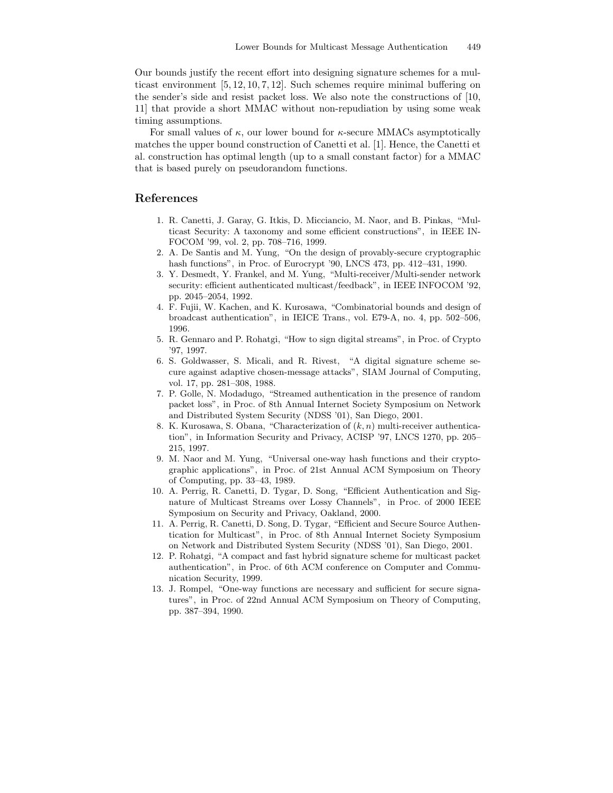Our bounds justify the recent effort into designing signature schemes for a multicast environment [5, 12, 10, 7, 12]. Such schemes require minimal buffering on the sender's side and resist packet loss. We also note the constructions of [10, 11] that provide a short MMAC without non-repudiation by using some weak timing assumptions.

For small values of  $\kappa$ , our lower bound for  $\kappa$ -secure MMACs asymptotically matches the upper bound construction of Canetti et al. [1]. Hence, the Canetti et al. construction has optimal length (up to a small constant factor) for a MMAC that is based purely on pseudorandom functions.

### References

- 1. R. Canetti, J. Garay, G. Itkis, D. Micciancio, M. Naor, and B. Pinkas, "Multicast Security: A taxonomy and some efficient constructions", in IEEE IN-FOCOM '99, vol. 2, pp. 708–716, 1999.
- 2. A. De Santis and M. Yung, "On the design of provably-secure cryptographic hash functions", in Proc. of Eurocrypt '90, LNCS 473, pp. 412–431, 1990.
- 3. Y. Desmedt, Y. Frankel, and M. Yung, "Multi-receiver/Multi-sender network security: efficient authenticated multicast/feedback", in IEEE INFOCOM '92, pp. 2045–2054, 1992.
- 4. F. Fujii, W. Kachen, and K. Kurosawa, "Combinatorial bounds and design of broadcast authentication", in IEICE Trans., vol. E79-A, no. 4, pp. 502–506, 1996.
- 5. R. Gennaro and P. Rohatgi, "How to sign digital streams", in Proc. of Crypto '97, 1997.
- 6. S. Goldwasser, S. Micali, and R. Rivest, "A digital signature scheme secure against adaptive chosen-message attacks", SIAM Journal of Computing, vol. 17, pp. 281–308, 1988.
- 7. P. Golle, N. Modadugo, "Streamed authentication in the presence of random packet loss", in Proc. of 8th Annual Internet Society Symposium on Network and Distributed System Security (NDSS '01), San Diego, 2001.
- 8. K. Kurosawa, S. Obana, "Characterization of  $(k, n)$  multi-receiver authentication", in Information Security and Privacy, ACISP '97, LNCS 1270, pp. 205– 215, 1997.
- 9. M. Naor and M. Yung, "Universal one-way hash functions and their cryptographic applications", in Proc. of 21st Annual ACM Symposium on Theory of Computing, pp. 33–43, 1989.
- 10. A. Perrig, R. Canetti, D. Tygar, D. Song, "Efficient Authentication and Signature of Multicast Streams over Lossy Channels", in Proc. of 2000 IEEE Symposium on Security and Privacy, Oakland, 2000.
- 11. A. Perrig, R. Canetti, D. Song, D. Tygar, "Efficient and Secure Source Authentication for Multicast", in Proc. of 8th Annual Internet Society Symposium on Network and Distributed System Security (NDSS '01), San Diego, 2001.
- 12. P. Rohatgi, "A compact and fast hybrid signature scheme for multicast packet authentication", in Proc. of 6th ACM conference on Computer and Communication Security, 1999.
- 13. J. Rompel, "One-way functions are necessary and sufficient for secure signatures", in Proc. of 22nd Annual ACM Symposium on Theory of Computing, pp. 387–394, 1990.